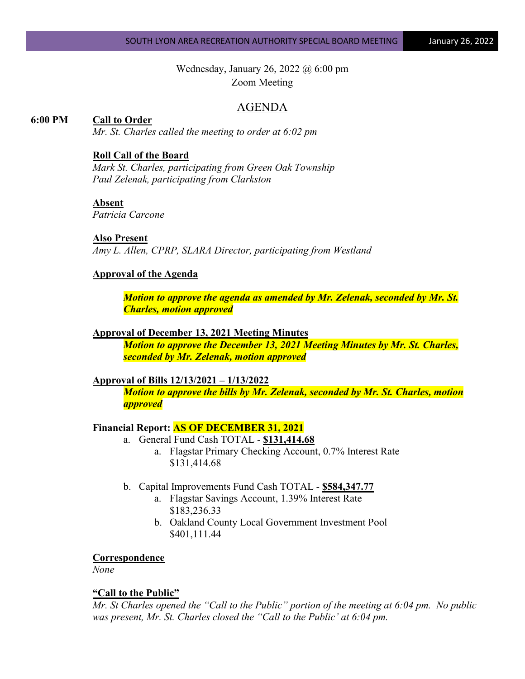### SOUTH LYON AREA RECREATION AUTHORITY SPECIAL BOARD MEETING **January 26, 2022**

Wednesday, January 26, 2022 @ 6:00 pm Zoom Meeting

### AGENDA

### **6:00 PM Call to Order**

*Mr. St. Charles called the meeting to order at 6:02 pm*

### **Roll Call of the Board**

*Mark St. Charles, participating from Green Oak Township Paul Zelenak, participating from Clarkston*

### **Absent**

*Patricia Carcone*

#### **Also Present**

*Amy L. Allen, CPRP, SLARA Director, participating from Westland*

### **Approval of the Agenda**

*Motion to approve the agenda as amended by Mr. Zelenak, seconded by Mr. St. Charles, motion approved*

#### **Approval of December 13, 2021 Meeting Minutes**

*Motion to approve the December 13, 2021 Meeting Minutes by Mr. St. Charles, seconded by Mr. Zelenak, motion approved*

#### **Approval of Bills 12/13/2021 – 1/13/2022**

*Motion to approve the bills by Mr. Zelenak, seconded by Mr. St. Charles, motion approved*

#### **Financial Report: AS OF DECEMBER 31, 2021**

- a. General Fund Cash TOTAL **\$131,414.68**
	- a. Flagstar Primary Checking Account, 0.7% Interest Rate \$131,414.68
- b. Capital Improvements Fund Cash TOTAL **\$584,347.77**
	- a. Flagstar Savings Account, 1.39% Interest Rate \$183,236.33
	- b. Oakland County Local Government Investment Pool \$401,111.44

# **Correspondence**

*None*

### **"Call to the Public"**

*Mr. St Charles opened the "Call to the Public" portion of the meeting at 6:04 pm. No public was present, Mr. St. Charles closed the "Call to the Public' at 6:04 pm.*